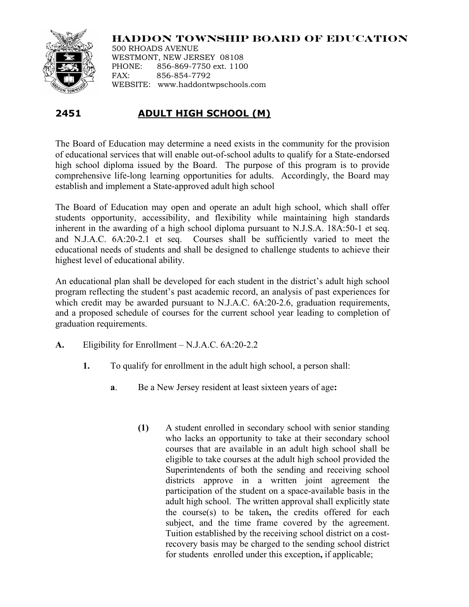

**HADDON TOWNSHIP BOARD OF EDUCATION**

500 RHOADS AVENUE WESTMONT, NEW JERSEY 08108 PHONE: 856-869-7750 ext. 1100 FAX: 856-854-7792 WEBSITE: www.haddontwpschools.com

## **2451 ADULT HIGH SCHOOL (M)**

The Board of Education may determine a need exists in the community for the provision of educational services that will enable out-of-school adults to qualify for a State-endorsed high school diploma issued by the Board. The purpose of this program is to provide comprehensive life-long learning opportunities for adults. Accordingly, the Board may establish and implement a State-approved adult high school

The Board of Education may open and operate an adult high school, which shall offer students opportunity, accessibility, and flexibility while maintaining high standards inherent in the awarding of a high school diploma pursuant to N.J.S.A. 18A:50-1 et seq. and N.J.A.C. 6A:20-2.1 et seq. Courses shall be sufficiently varied to meet the educational needs of students and shall be designed to challenge students to achieve their highest level of educational ability.

An educational plan shall be developed for each student in the district's adult high school program reflecting the student's past academic record, an analysis of past experiences for which credit may be awarded pursuant to N.J.A.C. 6A:20-2.6, graduation requirements, and a proposed schedule of courses for the current school year leading to completion of graduation requirements.

- **A.** Eligibility for Enrollment N.J.A.C. 6A:20-2.2
	- **1.** To qualify for enrollment in the adult high school, a person shall:
		- **a**. Be a New Jersey resident at least sixteen years of age**:**
			- **(1)** A student enrolled in secondary school with senior standing who lacks an opportunity to take at their secondary school courses that are available in an adult high school shall be eligible to take courses at the adult high school provided the Superintendents of both the sending and receiving school districts approve in a written joint agreement the participation of the student on a space-available basis in the adult high school. The written approval shall explicitly state the course(s) to be taken**,** the credits offered for each subject, and the time frame covered by the agreement. Tuition established by the receiving school district on a costrecovery basis may be charged to the sending school district for students enrolled under this exception**,** if applicable;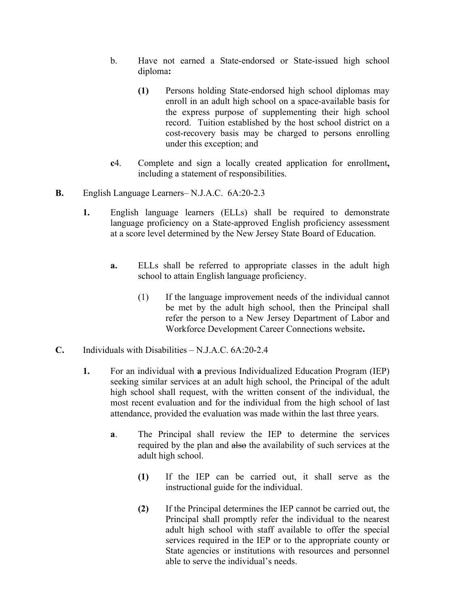- b. Have not earned a State-endorsed or State-issued high school diploma**:**
	- **(1)** Persons holding State-endorsed high school diplomas may enroll in an adult high school on a space-available basis for the express purpose of supplementing their high school record. Tuition established by the host school district on a cost-recovery basis may be charged to persons enrolling under this exception; and
- **c**4. Complete and sign a locally created application for enrollment**,** including a statement of responsibilities.
- **B.** English Language Learners– N.J.A.C. 6A:20-2.3
	- **1.** English language learners (ELLs) shall be required to demonstrate language proficiency on a State-approved English proficiency assessment at a score level determined by the New Jersey State Board of Education.
		- **a.** ELLs shall be referred to appropriate classes in the adult high school to attain English language proficiency.
			- (1) If the language improvement needs of the individual cannot be met by the adult high school, then the Principal shall refer the person to a New Jersey Department of Labor and Workforce Development Career Connections website**.**
- **C.** Individuals with Disabilities N.J.A.C. 6A:20-2.4
	- **1.** For an individual with **a** previous Individualized Education Program (IEP) seeking similar services at an adult high school, the Principal of the adult high school shall request, with the written consent of the individual, the most recent evaluation and for the individual from the high school of last attendance, provided the evaluation was made within the last three years.
		- **a**. The Principal shall review the IEP to determine the services required by the plan and also the availability of such services at the adult high school.
			- **(1)** If the IEP can be carried out, it shall serve as the instructional guide for the individual.
			- **(2)** If the Principal determines the IEP cannot be carried out, the Principal shall promptly refer the individual to the nearest adult high school with staff available to offer the special services required in the IEP or to the appropriate county or State agencies or institutions with resources and personnel able to serve the individual's needs.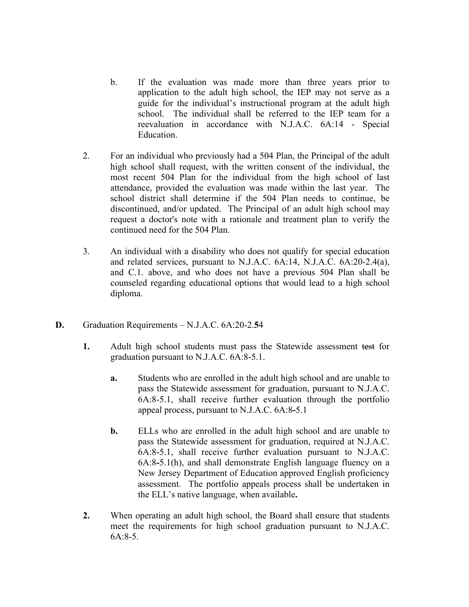- b. If the evaluation was made more than three years prior to application to the adult high school, the IEP may not serve as a guide for the individual's instructional program at the adult high school. The individual shall be referred to the IEP team for a reevaluation in accordance with N.J.A.C. 6A:14 - Special Education.
- 2. For an individual who previously had a 504 Plan, the Principal of the adult high school shall request, with the written consent of the individual, the most recent 504 Plan for the individual from the high school of last attendance, provided the evaluation was made within the last year. The school district shall determine if the 504 Plan needs to continue, be discontinued, and/or updated. The Principal of an adult high school may request a doctor's note with a rationale and treatment plan to verify the continued need for the 504 Plan.
- 3. An individual with a disability who does not qualify for special education and related services, pursuant to N.J.A.C. 6A:14, N.J.A.C. 6A:20-2.4(a), and C.1. above, and who does not have a previous 504 Plan shall be counseled regarding educational options that would lead to a high school diploma.
- **D.** Graduation Requirements N.J.A.C. 6A:20-2.**5**4
	- **1.** Adult high school students must pass the Statewide assessment test for graduation pursuant to N.J.A.C. 6A:8-5.1.
		- **a.** Students who are enrolled in the adult high school and are unable to pass the Statewide assessment for graduation, pursuant to N.J.A.C. 6A:8-5.1, shall receive further evaluation through the portfolio appeal process, pursuant to N.J.A.C. 6A:8**-**5.1
		- **b.** ELLs who are enrolled in the adult high school and are unable to pass the Statewide assessment for graduation, required at N.J.A.C. 6A:8-5.1, shall receive further evaluation pursuant to N.J.A.C. 6A:8**-**5.1(h), and shall demonstrate English language fluency on a New Jersey Department of Education approved English proficiency assessment. The portfolio appeals process shall be undertaken in the ELL's native language, when available**.**
	- **2.** When operating an adult high school, the Board shall ensure that students meet the requirements for high school graduation pursuant to N.J.A.C. 6A:8-5.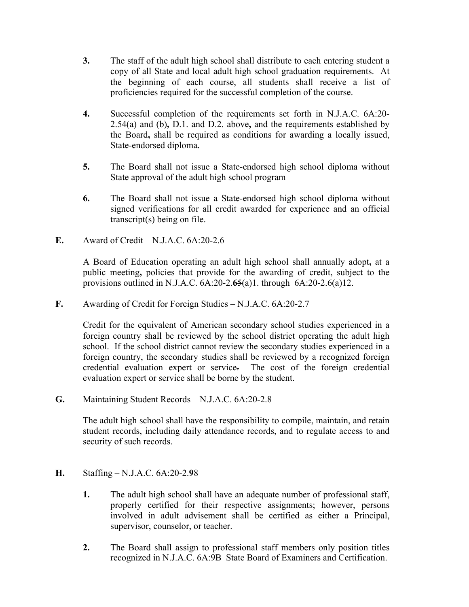- **3.** The staff of the adult high school shall distribute to each entering student a copy of all State and local adult high school graduation requirements. At the beginning of each course, all students shall receive a list of proficiencies required for the successful completion of the course.
- **4.** Successful completion of the requirements set forth in N.J.A.C. 6A:20- 2.54(a) and (b)**,** D.1. and D.2. above**,** and the requirements established by the Board**,** shall be required as conditions for awarding a locally issued, State-endorsed diploma.
- **5.** The Board shall not issue a State-endorsed high school diploma without State approval of the adult high school program
- **6.** The Board shall not issue a State-endorsed high school diploma without signed verifications for all credit awarded for experience and an official transcript(s) being on file.
- **E.** Award of Credit N.J.A.C. 6A:20-2.6

A Board of Education operating an adult high school shall annually adopt**,** at a public meeting**,** policies that provide for the awarding of credit, subject to the provisions outlined in N.J.A.C. 6A:20-2.**6**5(a)1. through 6A:20-2.6(a)12.

**F.** Awarding of Credit for Foreign Studies – N.J.A.C. 6A:20-2.7

Credit for the equivalent of American secondary school studies experienced in a foreign country shall be reviewed by the school district operating the adult high school. If the school district cannot review the secondary studies experienced in a foreign country, the secondary studies shall be reviewed by a recognized foreign credential evaluation expert or service. The cost of the foreign credential evaluation expert or service shall be borne by the student.

**G.** Maintaining Student Records – N.J.A.C. 6A:20-2.8

The adult high school shall have the responsibility to compile, maintain, and retain student records, including daily attendance records, and to regulate access to and security of such records.

## **H.** Staffing – N.J.A.C. 6A:20-2.**9**8

- **1.** The adult high school shall have an adequate number of professional staff, properly certified for their respective assignments; however, persons involved in adult advisement shall be certified as either a Principal, supervisor, counselor, or teacher.
- **2.** The Board shall assign to professional staff members only position titles recognized in N.J.A.C. 6A:9B State Board of Examiners and Certification.